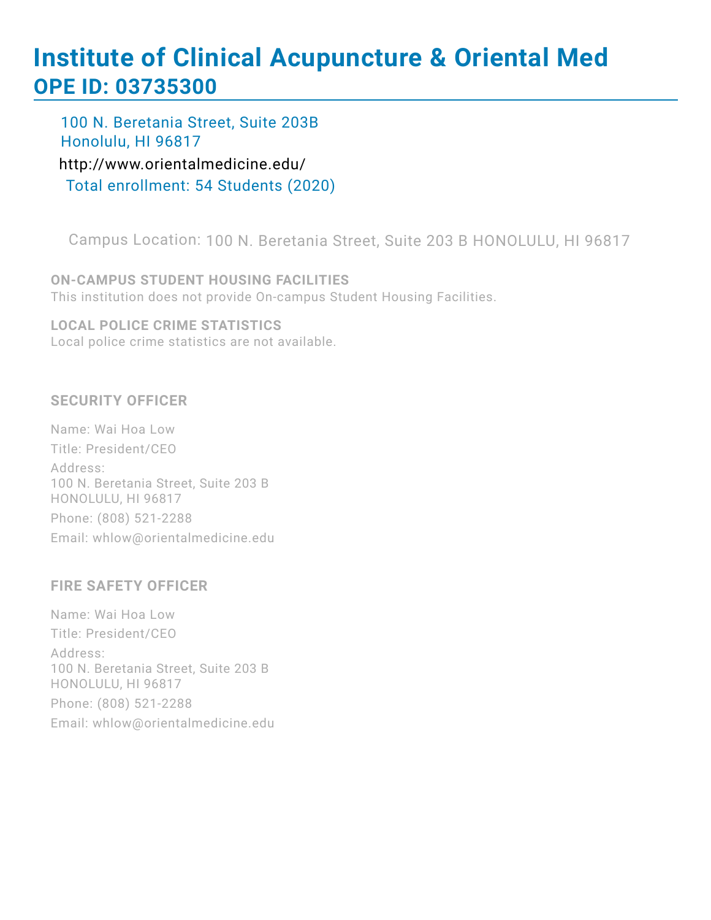# **Institute of Clinical Acupuncture & Oriental Med OPE ID: 03735300**

100 N. Beretania Street, Suite 203B Honolulu, HI 96817

<http://www.orientalmedicine.edu/> Total enrollment: 54 Students (2020)

Campus Location: 100 N. Beretania Street, Suite 203 B HONOLULU, HI 96817

**ON-CAMPUS STUDENT HOUSING FACILITIES** This institution does not provide On-campus Student Housing Facilities.

**LOCAL POLICE CRIME STATISTICS** Local police crime statistics are not available.

#### **SECURITY OFFICER**

Name: Wai Hoa Low Title: President/CEO Address: 100 N. Beretania Street, Suite 203 B HONOLULU, HI 96817 Phone: (808) 521-2288 Email: whlow@orientalmedicine.edu

#### **FIRE SAFETY OFFICER**

Name: Wai Hoa Low Title: President/CEO Address: 100 N. Beretania Street, Suite 203 B HONOLULU, HI 96817 Phone: (808) 521-2288 Email: whlow@orientalmedicine.edu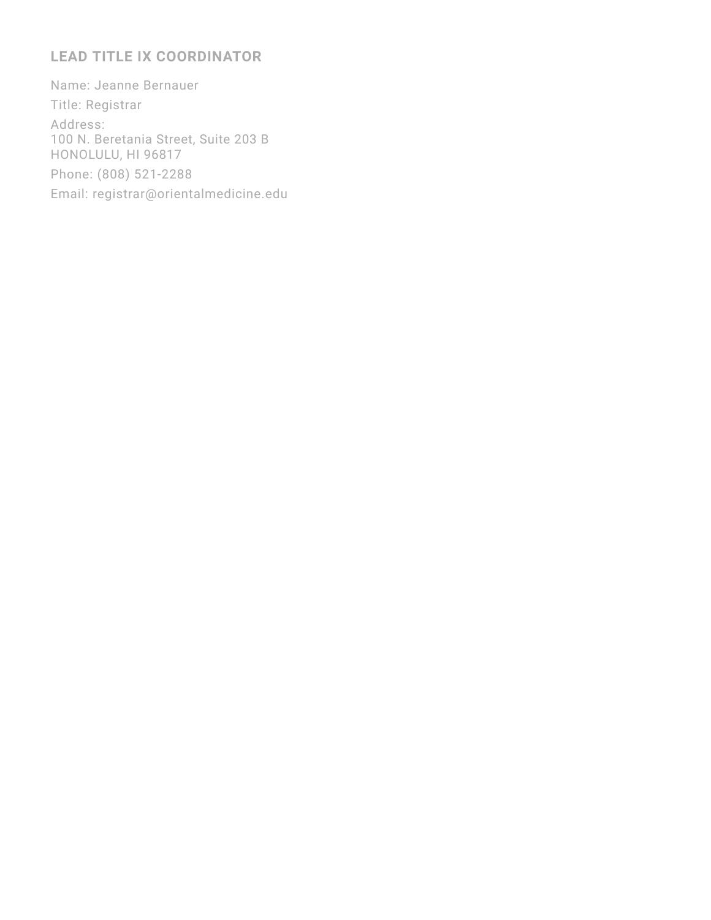#### **LEAD TITLE IX COORDINATOR**

Name: Jeanne Bernauer Title: Registrar Address: 100 N. Beretania Street, Suite 203 B HONOLULU, HI 96817 Phone: (808) 521-2288 Email: registrar@orientalmedicine.edu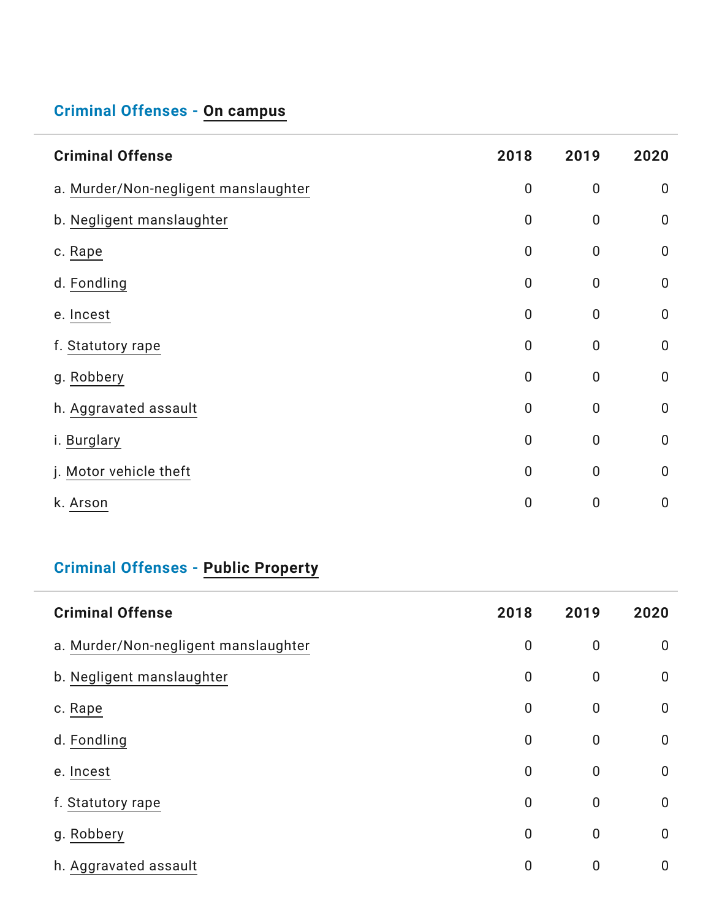## **Criminal Offenses - On [campus](https://ope.ed.gov/campussafety/)**

| <b>Criminal Offense</b>              | 2018        | 2019           | 2020        |
|--------------------------------------|-------------|----------------|-------------|
| a. Murder/Non-negligent manslaughter | $\pmb{0}$   | $\mathbf 0$    | $\mathbf 0$ |
| b. Negligent manslaughter            | $\pmb{0}$   | $\mathbf 0$    | $\mathbf 0$ |
| c. Rape                              | $\pmb{0}$   | $\mathbf 0$    | $\mathbf 0$ |
| d. Fondling                          | $\mathbf 0$ | $\mathbf 0$    | $\mathbf 0$ |
| e. Incest                            | 0           | $\mathbf 0$    | $\mathbf 0$ |
| f. Statutory rape                    | $\mathbf 0$ | $\mathbf 0$    | $\mathbf 0$ |
| g. Robbery                           | 0           | $\overline{0}$ | $\mathbf 0$ |
| h. Aggravated assault                | $\mathbf 0$ | $\mathbf 0$    | $\mathbf 0$ |
| i. Burglary                          | $\mathbf 0$ | $\mathbf 0$    | $\mathbf 0$ |
| j. Motor vehicle theft               | $\mathbf 0$ | $\mathbf 0$    | $\mathbf 0$ |
| k. Arson                             | $\pmb{0}$   | $\mathbf 0$    | $\mathbf 0$ |

## **Criminal Offenses - Public [Property](https://ope.ed.gov/campussafety/)**

| <b>Criminal Offense</b>              | 2018           | 2019 | 2020        |
|--------------------------------------|----------------|------|-------------|
| a. Murder/Non-negligent manslaughter | 0              | 0    | 0           |
| b. Negligent manslaughter            | $\mathbf 0$    | 0    | $\mathbf 0$ |
| c. Rape                              | 0              | 0    | $\mathbf 0$ |
| d. Fondling                          | $\mathbf 0$    | 0    | 0           |
| e. Incest                            | 0              | 0    | 0           |
| f. Statutory rape                    | $\mathbf 0$    | 0    | $\mathbf 0$ |
| g. Robbery                           | $\overline{0}$ | 0    | $\mathbf 0$ |
| h. Aggravated assault                | 0              | 0    | 0           |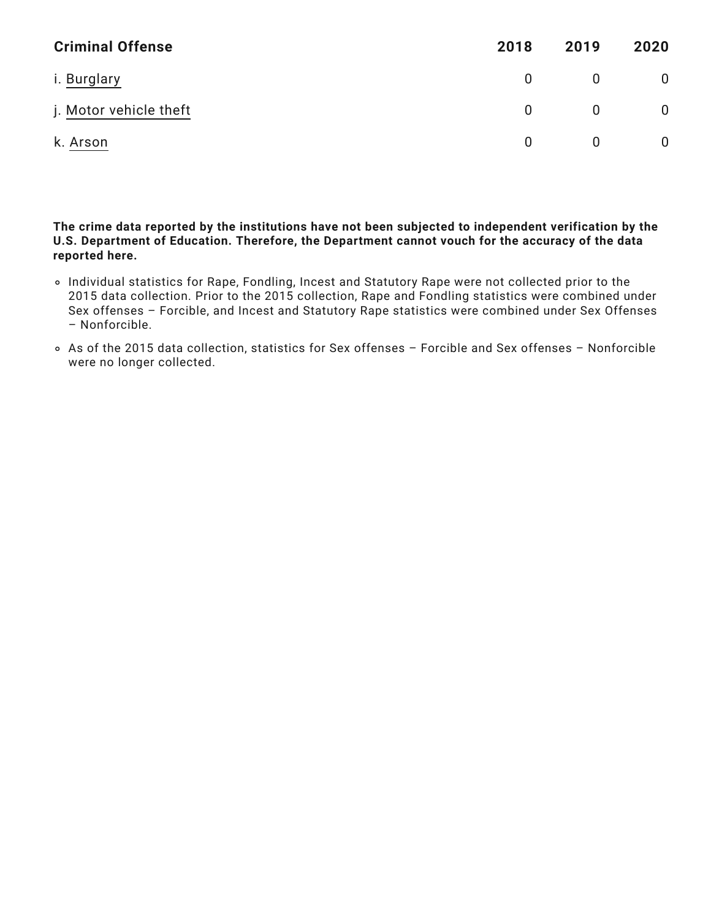| <b>Criminal Offense</b> | 2018     | 2019 | 2020         |
|-------------------------|----------|------|--------------|
| i. Burglary             | $\Omega$ |      | $\mathbf 0$  |
| j. Motor vehicle theft  | $\Omega$ | 0    | $\mathbf 0$  |
| k. Arson                | 0        |      | $\mathbf{0}$ |

**The crime data reported by the institutions have not been subjected to independent verification by the U.S. Department of Education. Therefore, the Department cannot vouch for the accuracy of the data reported here.**

- Individual statistics for Rape, Fondling, Incest and Statutory Rape were not collected prior to the 2015 data collection. Prior to the 2015 collection, Rape and Fondling statistics were combined under Sex offenses – Forcible, and Incest and Statutory Rape statistics were combined under Sex Offenses – Nonforcible.
- As of the 2015 data collection, statistics for Sex offenses Forcible and Sex offenses Nonforcible were no longer collected.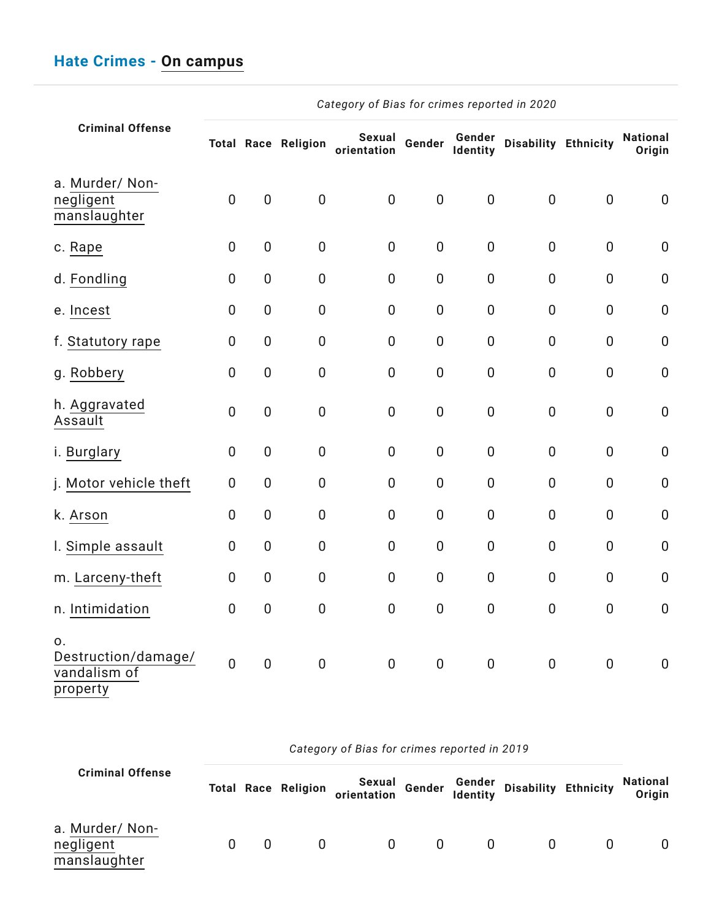| <b>Criminal Offense</b>                               |                  |                  | <b>Total Race Religion</b> | Sexual<br>orientation | Gender           | Gender<br>Identity | <b>Disability Ethnicity</b> |                  | <b>National</b><br>Origin |
|-------------------------------------------------------|------------------|------------------|----------------------------|-----------------------|------------------|--------------------|-----------------------------|------------------|---------------------------|
| a. Murder/ Non-<br>negligent<br>manslaughter          | $\overline{0}$   | $\mathbf 0$      | $\mathbf 0$                | $\overline{0}$        | $\pmb{0}$        | $\overline{0}$     | $\overline{0}$              | $\mathbf 0$      | $\boldsymbol{0}$          |
| c. Rape                                               | $\boldsymbol{0}$ | $\mathbf 0$      | $\mathbf 0$                | $\pmb{0}$             | $\boldsymbol{0}$ | $\boldsymbol{0}$   | $\pmb{0}$                   | $\boldsymbol{0}$ | $\mathbf 0$               |
| d. Fondling                                           | $\overline{0}$   | $\overline{0}$   | $\overline{0}$             | $\mathbf 0$           | $\mathbf 0$      | $\mathbf 0$        | $\mathbf 0$                 | $\mathbf 0$      | $\mathbf 0$               |
| e. Incest                                             | $\overline{0}$   | $\overline{0}$   | $\mathbf 0$                | $\mathbf 0$           | $\pmb{0}$        | $\overline{0}$     | $\overline{0}$              | $\overline{0}$   | $\boldsymbol{0}$          |
| f. Statutory rape                                     | $\overline{0}$   | $\mathbf 0$      | $\mathbf 0$                | $\mathbf 0$           | $\mathbf 0$      | $\mathbf 0$        | $\overline{0}$              | $\mathbf 0$      | $\mathbf 0$               |
| g. Robbery                                            | $\overline{0}$   | $\mathbf 0$      | $\mathbf 0$                | $\overline{0}$        | $\mathbf 0$      | $\mathbf 0$        | $\mathbf 0$                 | $\overline{0}$   | $\mathbf 0$               |
| h. Aggravated<br>Assault                              | $\boldsymbol{0}$ | $\pmb{0}$        | $\boldsymbol{0}$           | $\mathbf 0$           | $\pmb{0}$        | $\boldsymbol{0}$   | $\boldsymbol{0}$            | $\boldsymbol{0}$ | $\mathbf 0$               |
| i. Burglary                                           | $\overline{0}$   | $\mathbf 0$      | $\mathbf 0$                | $\mathbf 0$           | $\mathbf 0$      | $\mathbf 0$        | $\mathbf 0$                 | $\overline{0}$   | $\mathbf 0$               |
| j. Motor vehicle theft                                | $\overline{0}$   | $\mathbf 0$      | $\mathbf 0$                | $\mathbf 0$           | $\mathbf 0$      | $\mathbf 0$        | $\mathbf 0$                 | $\overline{0}$   | $\boldsymbol{0}$          |
| k. Arson                                              | $\overline{0}$   | $\boldsymbol{0}$ | $\mathbf 0$                | $\mathbf 0$           | $\boldsymbol{0}$ | $\mathbf 0$        | $\boldsymbol{0}$            | $\mathbf{0}$     | $\mathbf 0$               |
| I. Simple assault                                     | 0                | $\overline{0}$   | $\overline{0}$             | $\mathbf 0$           | $\mathbf 0$      | $\mathbf 0$        | $\mathbf 0$                 | $\mathbf{0}$     | $\mathbf 0$               |
| m. Larceny-theft                                      | $\overline{0}$   | $\overline{0}$   | $\mathbf 0$                | $\overline{0}$        | $\mathbf 0$      | $\mathbf 0$        | $\mathbf 0$                 | $\overline{0}$   | $\mathbf 0$               |
| n. Intimidation                                       | $\boldsymbol{0}$ | $\boldsymbol{0}$ | $\mathbf 0$                | $\pmb{0}$             | $\boldsymbol{0}$ | $\boldsymbol{0}$   | $\pmb{0}$                   | $\mathbf 0$      | $\boldsymbol{0}$          |
| 0.<br>Destruction/damage/<br>vandalism of<br>property | $\overline{0}$   | $\boldsymbol{0}$ | $\mathbf 0$                | $\mathbf 0$           | $\mathbf 0$      | $\mathbf 0$        | $\pmb{0}$                   | $\mathbf 0$      | $\mathbf 0$               |

|                                              |   |                            | Category of Bias for crimes reported in 2019 |          |                           |                      |                           |
|----------------------------------------------|---|----------------------------|----------------------------------------------|----------|---------------------------|----------------------|---------------------------|
| <b>Criminal Offense</b>                      |   | <b>Total Race Religion</b> | Sexual<br>orientation                        |          | Gender Gender<br>Identity | Disability Ethnicity | <b>National</b><br>Origin |
| a. Murder/ Non-<br>negligent<br>manslaughter | 0 | $\Omega$                   | $\Omega$                                     | $\Omega$ | $\Omega$                  |                      | 0                         |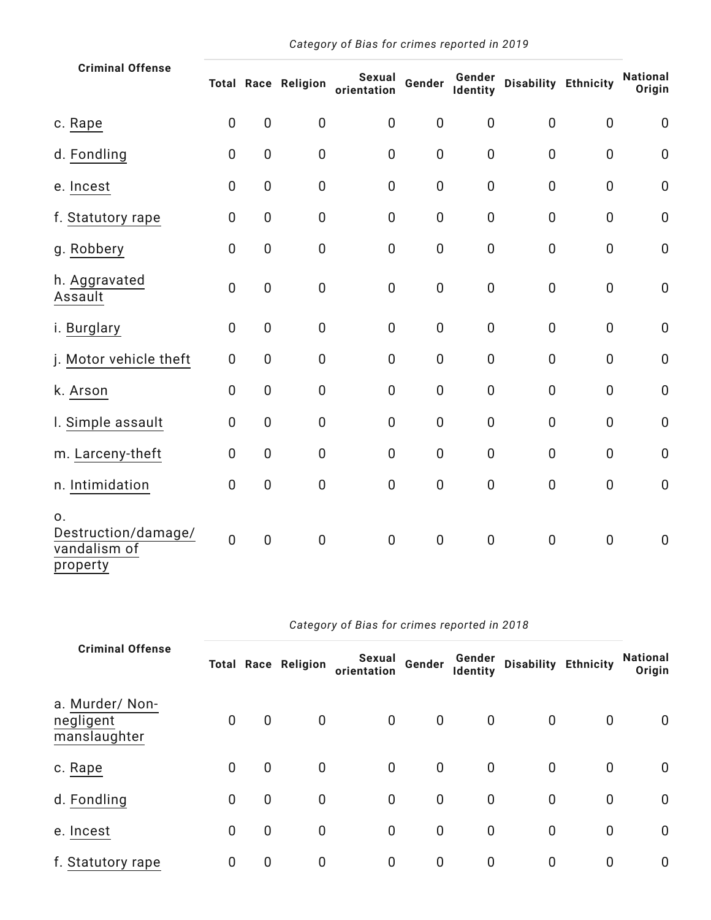| <b>Criminal Offense</b>                               |                |                  | <b>Total Race Religion</b> | Sexual<br>orientation | Gender           | Gender<br>Identity | Disability Ethnicity |                  | <b>National</b><br>Origin |
|-------------------------------------------------------|----------------|------------------|----------------------------|-----------------------|------------------|--------------------|----------------------|------------------|---------------------------|
| c. Rape                                               | $\mathbf 0$    | $\pmb{0}$        | $\boldsymbol{0}$           | $\mathbf 0$           | $\mathbf 0$      | $\mathbf 0$        | $\overline{0}$       | $\overline{0}$   | $\mathbf 0$               |
| d. Fondling                                           | $\mathbf 0$    | $\boldsymbol{0}$ | $\pmb{0}$                  | $\pmb{0}$             | $\mathbf 0$      | $\pmb{0}$          | $\mathbf 0$          | $\pmb{0}$        | $\mathbf 0$               |
| e. Incest                                             | $\overline{0}$ | $\mathbf 0$      | $\boldsymbol{0}$           | $\mathbf 0$           | $\mathbf 0$      | $\mathbf 0$        | $\overline{0}$       | $\overline{0}$   | $\mathbf 0$               |
| f. Statutory rape                                     | $\mathbf 0$    | $\mathbf 0$      | $\mathbf 0$                | $\mathbf 0$           | $\mathbf 0$      | $\mathbf 0$        | $\mathbf 0$          | 0                | $\mathbf 0$               |
| g. Robbery                                            | $\overline{0}$ | $\overline{0}$   | $\boldsymbol{0}$           | $\mathbf 0$           | $\boldsymbol{0}$ | $\pmb{0}$          | $\mathbf 0$          | $\boldsymbol{0}$ | $\boldsymbol{0}$          |
| h. Aggravated<br>Assault                              | $\overline{0}$ | $\boldsymbol{0}$ | $\mathbf 0$                | $\mathbf 0$           | $\mathbf 0$      | $\mathbf 0$        | $\overline{0}$       | 0                | $\mathbf 0$               |
| i. Burglary                                           | $\mathbf 0$    | $\mathbf 0$      | $\mathbf 0$                | $\mathbf 0$           | $\mathbf 0$      | $\mathbf 0$        | $\mathbf 0$          | $\mathbf 0$      | $\mathbf 0$               |
| j. Motor vehicle theft                                | $\overline{0}$ | $\mathbf 0$      | $\boldsymbol{0}$           | $\mathbf 0$           | $\boldsymbol{0}$ | $\pmb{0}$          | $\boldsymbol{0}$     | $\overline{0}$   | $\mathbf 0$               |
| k. Arson                                              | $\mathbf 0$    | $\mathbf 0$      | $\boldsymbol{0}$           | $\mathbf 0$           | $\mathbf 0$      | $\boldsymbol{0}$   | $\boldsymbol{0}$     | $\mathbf 0$      | $\mathbf 0$               |
| I. Simple assault                                     | $\overline{0}$ | $\overline{0}$   | $\mathbf 0$                | $\overline{0}$        | $\mathbf 0$      | $\mathbf 0$        | $\overline{0}$       | $\overline{0}$   | $\mathbf 0$               |
| m. Larceny-theft                                      | $\mathbf 0$    | $\mathbf 0$      | $\boldsymbol{0}$           | $\boldsymbol{0}$      | $\boldsymbol{0}$ | $\mathbf 0$        | $\boldsymbol{0}$     | $\mathbf 0$      | $\mathbf 0$               |
| n. Intimidation                                       | $\overline{0}$ | $\overline{0}$   | $\boldsymbol{0}$           | $\mathbf 0$           | $\boldsymbol{0}$ | $\mathbf 0$        | $\mathbf 0$          | $\overline{0}$   | $\mathbf 0$               |
| 0.<br>Destruction/damage/<br>vandalism of<br>property | $\overline{0}$ | $\overline{0}$   | $\mathbf 0$                | $\mathbf 0$           | $\boldsymbol{0}$ | $\boldsymbol{0}$   | $\mathbf 0$          | $\mathbf 0$      | $\mathbf 0$               |

| <b>Criminal Offense</b>                      |                |             | <b>Total Race Religion</b> | Sexual<br>orientation | Gender      | Gender<br>Identity | <b>Disability Ethnicity</b> |             | <b>National</b><br>Origin |
|----------------------------------------------|----------------|-------------|----------------------------|-----------------------|-------------|--------------------|-----------------------------|-------------|---------------------------|
| a. Murder/ Non-<br>negligent<br>manslaughter | $\mathbf 0$    | 0           | 0                          | $\mathbf 0$           | $\mathbf 0$ | $\mathbf 0$        | $\mathbf 0$                 | $\mathbf 0$ | $\mathbf 0$               |
| c. Rape                                      | $\overline{0}$ | $\mathbf 0$ | 0                          | $\mathbf 0$           | $\mathbf 0$ | $\mathbf 0$        | $\mathbf 0$                 | $\mathbf 0$ | $\mathbf 0$               |
| d. Fondling                                  | $\mathbf 0$    | 0           | 0                          | $\mathbf 0$           | $\mathbf 0$ | $\mathbf 0$        | 0                           | 0           | $\mathbf 0$               |
| e. Incest                                    | $\mathbf 0$    | 0           | $\mathbf 0$                | $\mathbf 0$           | $\mathbf 0$ | $\mathbf 0$        | 0                           | 0           | $\mathbf 0$               |
| f. Statutory rape                            | 0              | $\mathbf 0$ | $\mathbf 0$                | $\mathbf 0$           | $\mathbf 0$ | $\mathbf 0$        | 0                           | $\mathbf 0$ | $\boldsymbol{0}$          |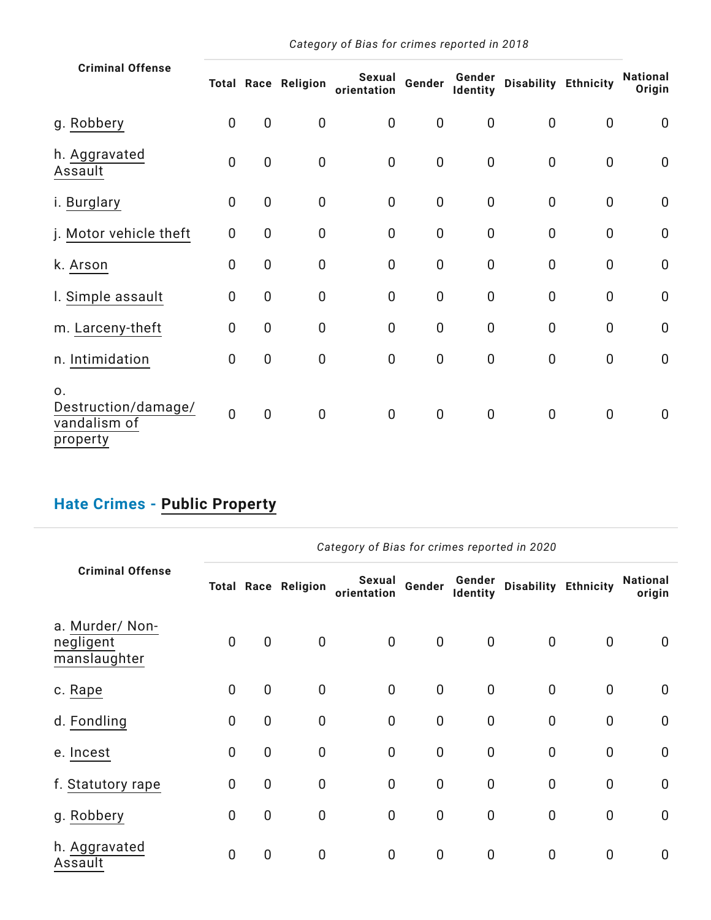| <b>Criminal Offense</b>                               |                |                  | <b>Total Race Religion</b> | Sexual<br>orientation | Gender         | Gender<br>Identity | <b>Disability Ethnicity</b> |                | <b>National</b><br>Origin |
|-------------------------------------------------------|----------------|------------------|----------------------------|-----------------------|----------------|--------------------|-----------------------------|----------------|---------------------------|
| g. Robbery                                            | $\overline{0}$ | $\overline{0}$   | $\mathbf 0$                | $\overline{0}$        | $\mathbf 0$    | $\mathbf 0$        | $\overline{0}$              | $\mathbf 0$    | $\mathbf 0$               |
| h. Aggravated<br>Assault                              | $\mathbf 0$    | $\boldsymbol{0}$ | $\boldsymbol{0}$           | $\mathbf 0$           | $\mathbf 0$    | $\pmb{0}$          | $\mathbf 0$                 | $\mathbf 0$    | $\pmb{0}$                 |
| i. Burglary                                           | 0              | $\mathbf 0$      | $\boldsymbol{0}$           | $\mathbf 0$           | $\mathbf 0$    | $\pmb{0}$          | $\mathbf 0$                 | $\mathbf 0$    | $\mathbf 0$               |
| j. Motor vehicle theft                                | $\overline{0}$ | $\mathbf 0$      | $\mathbf 0$                | $\mathbf 0$           | $\mathbf 0$    | $\pmb{0}$          | $\mathbf 0$                 | $\mathbf 0$    | $\pmb{0}$                 |
| k. Arson                                              | $\mathbf 0$    | $\mathbf 0$      | $\mathbf 0$                | $\mathbf 0$           | $\mathbf 0$    | $\pmb{0}$          | $\mathbf 0$                 | $\mathbf 0$    | $\mathbf 0$               |
| I. Simple assault                                     | $\overline{0}$ | $\boldsymbol{0}$ | $\mathbf 0$                | $\mathbf 0$           | $\mathbf 0$    | $\pmb{0}$          | $\mathbf 0$                 | $\mathbf 0$    | $\mathbf 0$               |
| m. Larceny-theft                                      | $\mathbf 0$    | $\overline{0}$   | $\mathbf 0$                | $\mathbf 0$           | $\mathbf 0$    | $\mathbf 0$        | $\overline{0}$              | $\mathbf 0$    | $\mathbf 0$               |
| n. Intimidation                                       | $\mathbf 0$    | $\boldsymbol{0}$ | $\mathbf 0$                | $\mathbf 0$           | $\mathbf 0$    | $\mathbf 0$        | $\mathbf 0$                 | $\mathbf 0$    | $\boldsymbol{0}$          |
| 0.<br>Destruction/damage/<br>vandalism of<br>property | $\overline{0}$ | $\overline{0}$   | $\mathbf 0$                | $\overline{0}$        | $\overline{0}$ | $\overline{0}$     | $\mathbf 0$                 | $\overline{0}$ | $\mathbf 0$               |

## **Hate Crimes - Public [Property](https://ope.ed.gov/campussafety/)**

|                                              |                |                |                            | Category of Bias for crimes reported in 2020 |             |                    |                      |                |                           |
|----------------------------------------------|----------------|----------------|----------------------------|----------------------------------------------|-------------|--------------------|----------------------|----------------|---------------------------|
| <b>Criminal Offense</b>                      |                |                | <b>Total Race Religion</b> | Sexual<br>orientation                        | Gender      | Gender<br>Identity | Disability Ethnicity |                | <b>National</b><br>origin |
| a. Murder/ Non-<br>negligent<br>manslaughter | $\mathbf 0$    | $\mathbf 0$    | $\pmb{0}$                  | $\mathbf 0$                                  | $\mathbf 0$ | $\mathbf 0$        | 0                    | $\overline{0}$ | $\mathbf 0$               |
| c. Rape                                      | $\overline{0}$ | $\overline{0}$ | $\mathbf 0$                | $\mathbf 0$                                  | $\mathbf 0$ | $\overline{0}$     | $\mathbf 0$          | $\overline{0}$ | $\mathbf 0$               |
| d. Fondling                                  | $\overline{0}$ | $\mathbf 0$    | $\mathbf 0$                | $\mathbf 0$                                  | $\mathbf 0$ | $\mathbf{0}$       | $\mathbf 0$          | $\mathbf 0$    | $\mathbf 0$               |
| e. Incest                                    | $\overline{0}$ | $\overline{0}$ | $\mathbf 0$                | $\mathbf 0$                                  | $\mathbf 0$ | $\overline{0}$     | $\overline{0}$       | $\mathbf 0$    | $\mathbf 0$               |
| f. Statutory rape                            | $\overline{0}$ | $\mathbf 0$    | $\mathbf 0$                | $\mathbf 0$                                  | $\mathbf 0$ | $\mathbf{0}$       | $\mathbf 0$          | $\mathbf 0$    | $\mathbf 0$               |
| g. Robbery                                   | $\overline{0}$ | $\overline{0}$ | $\mathbf 0$                | $\mathbf 0$                                  | $\mathbf 0$ | $\overline{0}$     | $\overline{0}$       | $\mathbf 0$    | $\mathbf 0$               |
| h. Aggravated<br>Assault                     | $\overline{0}$ | $\mathbf 0$    | $\mathbf 0$                | $\mathbf 0$                                  | $\mathbf 0$ | $\overline{0}$     | $\mathbf 0$          | $\overline{0}$ | 0                         |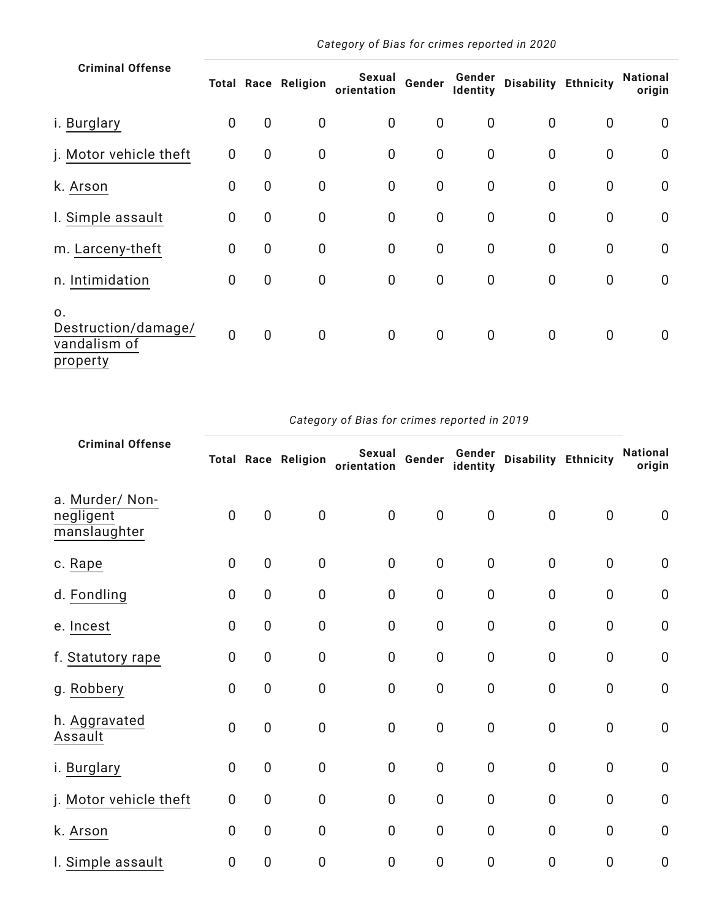| <b>Criminal Offense</b>                                           |                |                | <b>Total Race Religion</b> | Sexual<br>orientation | Gender           | Gender<br>Identity | Disability Ethnicity |             | National<br>origin |
|-------------------------------------------------------------------|----------------|----------------|----------------------------|-----------------------|------------------|--------------------|----------------------|-------------|--------------------|
| i. Burglary                                                       | 0              | $\mathbf 0$    | $\mathbf 0$                | $\mathbf 0$           | $\mathbf 0$      | $\mathbf 0$        | 0                    | 0           | $\overline{0}$     |
| j. Motor vehicle theft                                            | $\mathbf 0$    | $\mathbf 0$    | $\mathbf 0$                | $\mathbf 0$           | $\mathbf 0$      | $\mathbf 0$        | $\mathbf 0$          | $\mathbf 0$ | $\mathbf 0$        |
| k. Arson                                                          | $\mathbf 0$    | $\mathbf 0$    | $\mathbf 0$                | $\overline{0}$        | $\mathbf 0$      | $\mathbf 0$        | $\overline{0}$       | $\mathbf 0$ | $\mathbf 0$        |
| I. Simple assault                                                 | 0              | $\mathbf 0$    | $\mathbf 0$                | $\mathbf 0$           | $\mathbf 0$      | $\mathbf 0$        | $\overline{0}$       | $\mathbf 0$ | $\overline{0}$     |
| m. Larceny-theft                                                  | 0              | $\mathbf 0$    | $\mathbf 0$                | $\mathbf 0$           | $\mathbf 0$      | $\mathbf 0$        | $\mathbf 0$          | $\mathbf 0$ | $\mathbf 0$        |
| n. Intimidation                                                   | $\pmb{0}$      | $\mathbf 0$    | $\mathbf 0$                | $\mathbf 0$           | $\boldsymbol{0}$ | $\pmb{0}$          | $\mathbf 0$          | $\mathbf 0$ | $\mathbf 0$        |
| $\mathsf{O}$ .<br>Destruction/damage/<br>vandalism of<br>property | $\overline{0}$ | $\overline{0}$ | $\mathbf 0$                | $\mathbf 0$           | $\mathbf 0$      | $\mathbf 0$        | 0                    | $\mathbf 0$ | $\mathbf 0$        |

| <b>Criminal Offense</b>                      |                |                  | <b>Total Race Religion</b> | Sexual<br>orientation | Gender         | Gender<br>identity | Disability Ethnicity |                | <b>National</b><br>origin |
|----------------------------------------------|----------------|------------------|----------------------------|-----------------------|----------------|--------------------|----------------------|----------------|---------------------------|
| a. Murder/ Non-<br>negligent<br>manslaughter | $\mathbf 0$    | $\mathbf 0$      | $\pmb{0}$                  | $\mathbf 0$           | $\pmb{0}$      | $\pmb{0}$          | $\mathbf 0$          | $\mathbf 0$    | $\mathbf 0$               |
| c. Rape                                      | $\overline{0}$ | $\boldsymbol{0}$ | $\pmb{0}$                  | $\mathbf 0$           | $\mathbf 0$    | $\mathbf 0$        | $\mathbf 0$          | $\mathbf 0$    | $\mathbf 0$               |
| d. Fondling                                  | $\overline{0}$ | $\mathbf 0$      | $\pmb{0}$                  | 0                     | $\overline{0}$ | $\mathbf 0$        | $\mathbf 0$          | $\mathbf 0$    | $\pmb{0}$                 |
| e. Incest                                    | $\overline{0}$ | 0                | $\mathbf 0$                | $\overline{0}$        | $\overline{0}$ | $\mathbf 0$        | $\overline{0}$       | $\overline{0}$ | $\mathbf 0$               |
| f. Statutory rape                            | $\overline{0}$ | $\boldsymbol{0}$ | $\mathbf 0$                | 0                     | $\mathbf 0$    | $\mathbf 0$        | $\mathbf 0$          | $\mathbf 0$    | $\mathbf 0$               |
| g. Robbery                                   | $\mathbf 0$    | $\boldsymbol{0}$ | $\pmb{0}$                  | 0                     | $\mathbf 0$    | $\pmb{0}$          | $\mathbf 0$          | $\mathbf 0$    | $\mathbf 0$               |
| h. Aggravated<br>Assault                     | $\overline{0}$ | $\overline{0}$   | $\mathbf 0$                | $\mathbf 0$           | $\mathbf 0$    | $\mathbf 0$        | $\mathbf 0$          | $\mathbf 0$    | $\mathbf 0$               |
| i. Burglary                                  | $\mathbf 0$    | $\boldsymbol{0}$ | $\mathbf 0$                | $\mathbf 0$           | $\overline{0}$ | $\mathbf 0$        | $\mathbf 0$          | $\mathbf 0$    | $\mathbf 0$               |
| j. Motor vehicle theft                       | $\overline{0}$ | 0                | $\mathbf 0$                | $\overline{0}$        | $\overline{0}$ | $\overline{0}$     | $\overline{0}$       | $\overline{0}$ | $\mathbf 0$               |
| k. Arson                                     | $\overline{0}$ | $\boldsymbol{0}$ | $\mathbf 0$                | $\mathbf 0$           | $\mathbf 0$    | $\mathbf 0$        | $\overline{0}$       | $\mathbf 0$    | $\mathbf 0$               |
| I. Simple assault                            | $\mathbf 0$    | 0                | $\boldsymbol{0}$           | 0                     | $\mathbf 0$    | 0                  | $\mathbf 0$          | $\mathbf 0$    | $\boldsymbol{0}$          |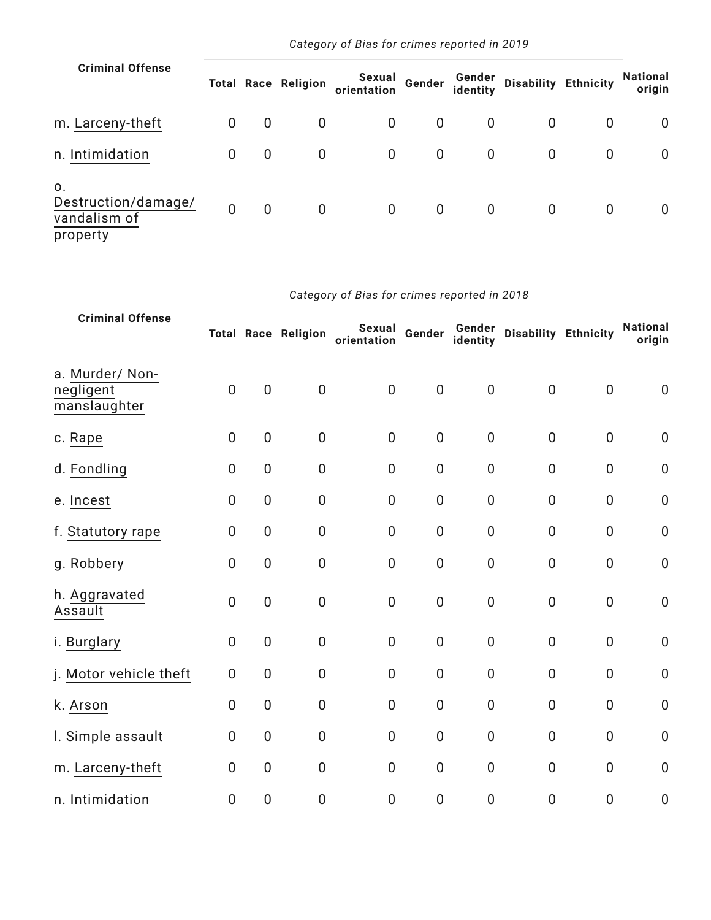| <b>Criminal Offense</b>                               |             |             | <b>Total Race Religion</b> | Sexual<br>orientation | Gender      | identity     | Gender Disability Ethnicity |             | National<br>origin |
|-------------------------------------------------------|-------------|-------------|----------------------------|-----------------------|-------------|--------------|-----------------------------|-------------|--------------------|
| m. Larceny-theft                                      | $\mathbf 0$ | 0           | $\mathbf 0$                | $\mathbf{0}$          | $\mathbf 0$ | $\mathbf{0}$ | 0                           | $\mathbf 0$ | 0                  |
| n. Intimidation                                       | $\mathbf 0$ | $\mathbf 0$ | $\mathbf 0$                | $\mathbf 0$           | $\mathbf 0$ | $\mathbf 0$  | 0                           | $\mathbf 0$ | 0                  |
| 0.<br>Destruction/damage/<br>vandalism of<br>property | $\mathbf 0$ | $\mathbf 0$ | $\mathbf 0$                | $\mathbf 0$           | $\mathbf 0$ | $\mathbf 0$  | 0                           | $\mathbf 0$ | $\mathbf{0}$       |

| <b>Criminal Offense</b>                      |                |                | <b>Total Race Religion</b> | Sexual<br>orientation | Gender         | Gender<br>identity | Disability Ethnicity |                | <b>National</b><br>origin |
|----------------------------------------------|----------------|----------------|----------------------------|-----------------------|----------------|--------------------|----------------------|----------------|---------------------------|
| a. Murder/ Non-<br>negligent<br>manslaughter | $\overline{0}$ | $\overline{0}$ | $\mathbf 0$                | $\mathbf 0$           | $\mathbf 0$    | $\mathbf 0$        | $\overline{0}$       | $\mathbf 0$    | $\mathbf 0$               |
| c. Rape                                      | $\mathbf 0$    | $\mathbf 0$    | $\mathbf 0$                | $\mathbf 0$           | $\overline{0}$ | $\mathbf 0$        | $\overline{0}$       | $\mathbf 0$    | $\boldsymbol{0}$          |
| d. Fondling                                  | $\overline{0}$ | 0              | $\boldsymbol{0}$           | $\boldsymbol{0}$      | $\mathbf 0$    | $\boldsymbol{0}$   | $\boldsymbol{0}$     | $\mathbf 0$    | $\pmb{0}$                 |
| e. Incest                                    | $\mathbf 0$    | 0              | $\pmb{0}$                  | $\mathbf 0$           | $\mathbf 0$    | $\mathbf 0$        | $\overline{0}$       | $\mathbf 0$    | $\mathbf 0$               |
| f. Statutory rape                            | $\mathbf 0$    | 0              | $\pmb{0}$                  | $\boldsymbol{0}$      | $\mathbf 0$    | $\boldsymbol{0}$   | $\mathbf 0$          | $\overline{0}$ | $\boldsymbol{0}$          |
| g. Robbery                                   | $\overline{0}$ | 0              | $\pmb{0}$                  | $\boldsymbol{0}$      | $\mathbf 0$    | $\boldsymbol{0}$   | $\boldsymbol{0}$     | $\mathbf 0$    | $\pmb{0}$                 |
| h. Aggravated<br>Assault                     | $\overline{0}$ | $\overline{0}$ | $\boldsymbol{0}$           | $\overline{0}$        | $\mathbf 0$    | $\boldsymbol{0}$   | $\mathbf 0$          | $\overline{0}$ | $\mathbf 0$               |
| i. Burglary                                  | $\overline{0}$ | $\overline{0}$ | $\mathbf 0$                | $\mathbf 0$           | $\mathbf 0$    | $\mathbf 0$        | $\overline{0}$       | $\overline{0}$ | $\mathbf 0$               |
| j. Motor vehicle theft                       | $\overline{0}$ | 0              | $\boldsymbol{0}$           | $\mathbf 0$           | $\mathbf 0$    | $\boldsymbol{0}$   | $\overline{0}$       | $\overline{0}$ | $\pmb{0}$                 |
| k. Arson                                     | $\mathbf 0$    | 0              | $\boldsymbol{0}$           | $\boldsymbol{0}$      | $\mathbf 0$    | $\boldsymbol{0}$   | $\boldsymbol{0}$     | $\mathbf 0$    | $\pmb{0}$                 |
| I. Simple assault                            | $\overline{0}$ | 0              | $\overline{0}$             | $\mathbf 0$           | $\mathbf 0$    | $\mathbf 0$        | $\overline{0}$       | $\mathbf 0$    | $\mathbf 0$               |
| m. Larceny-theft                             | $\mathbf 0$    | 0              | $\mathbf 0$                | $\mathbf 0$           | $\mathbf 0$    | $\mathbf 0$        | $\overline{0}$       | $\overline{0}$ | $\mathbf 0$               |
| n. Intimidation                              | $\overline{0}$ | 0              | $\mathbf 0$                | $\boldsymbol{0}$      | $\mathbf 0$    | $\boldsymbol{0}$   | $\boldsymbol{0}$     | $\overline{0}$ | $\pmb{0}$                 |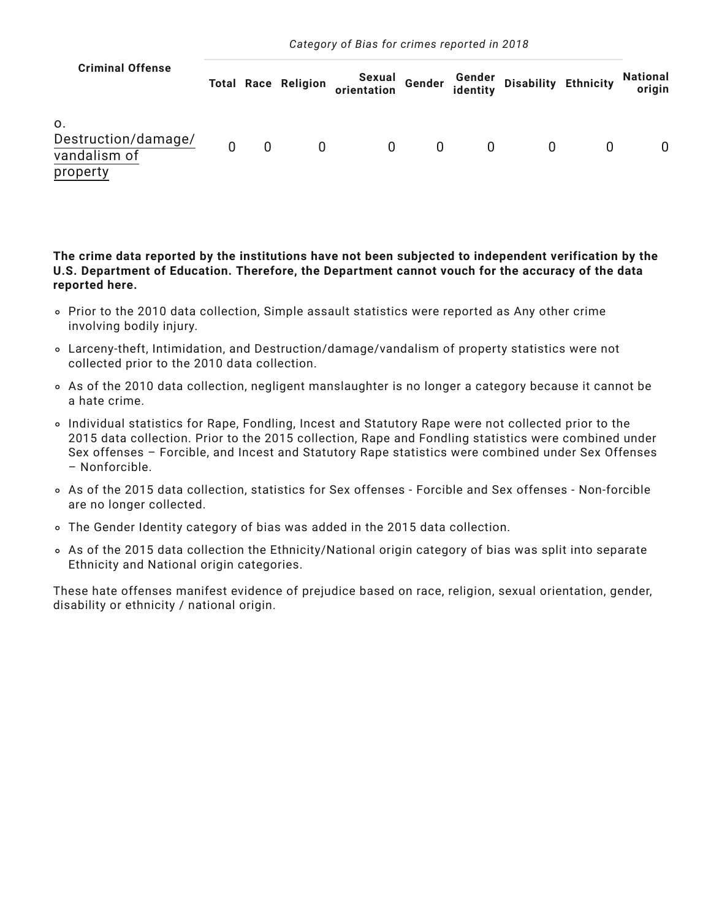| <b>Criminal Offense</b>                               |                |                | <b>Total Race Religion</b> | Sexual Gender Gender Disability Ethnicity<br>orientation identity Disability Ethnicity |   |   |   |          | National<br>origin |
|-------------------------------------------------------|----------------|----------------|----------------------------|----------------------------------------------------------------------------------------|---|---|---|----------|--------------------|
| 0.<br>Destruction/damage/<br>vandalism of<br>property | $\overline{0}$ | $\overline{0}$ | $\mathbf{0}$               | $\mathbf{0}$                                                                           | 0 | 0 | 0 | $\Omega$ |                    |

**The crime data reported by the institutions have not been subjected to independent verification by the U.S. Department of Education. Therefore, the Department cannot vouch for the accuracy of the data reported here.**

- Prior to the 2010 data collection, Simple assault statistics were reported as Any other crime involving bodily injury.
- Larceny-theft, Intimidation, and Destruction/damage/vandalism of property statistics were not collected prior to the 2010 data collection.
- As of the 2010 data collection, negligent manslaughter is no longer a category because it cannot be a hate crime.
- Individual statistics for Rape, Fondling, Incest and Statutory Rape were not collected prior to the 2015 data collection. Prior to the 2015 collection, Rape and Fondling statistics were combined under Sex offenses – Forcible, and Incest and Statutory Rape statistics were combined under Sex Offenses – Nonforcible.
- As of the 2015 data collection, statistics for Sex offenses Forcible and Sex offenses Non-forcible are no longer collected.
- The Gender Identity category of bias was added in the 2015 data collection.
- As of the 2015 data collection the Ethnicity/National origin category of bias was split into separate Ethnicity and National origin categories.

These hate offenses manifest evidence of prejudice based on race, religion, sexual orientation, gender, disability or ethnicity / national origin.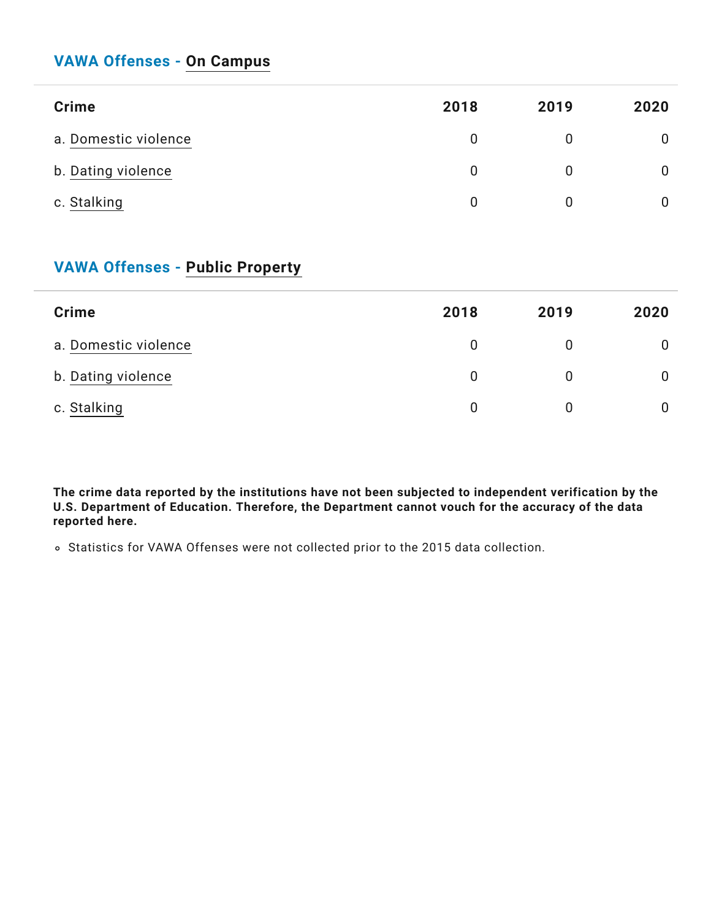### **VAWA Offenses - On [Campus](https://ope.ed.gov/campussafety/)**

| <b>Crime</b>         | 2018 | 2019        | 2020 |
|----------------------|------|-------------|------|
| a. Domestic violence | 0    | 0           |      |
| b. Dating violence   | 0    | $\mathbf 0$ | 0    |
| c. Stalking          | 0    | 0           |      |

#### **VAWA Offenses - Public [Property](https://ope.ed.gov/campussafety/)**

| <b>Crime</b>         | 2018 | 2019 | 2020 |
|----------------------|------|------|------|
| a. Domestic violence |      | 0    |      |
| b. Dating violence   |      | 0    |      |
| c. Stalking          |      | 0    |      |

**The crime data reported by the institutions have not been subjected to independent verification by the U.S. Department of Education. Therefore, the Department cannot vouch for the accuracy of the data reported here.**

Statistics for VAWA Offenses were not collected prior to the 2015 data collection.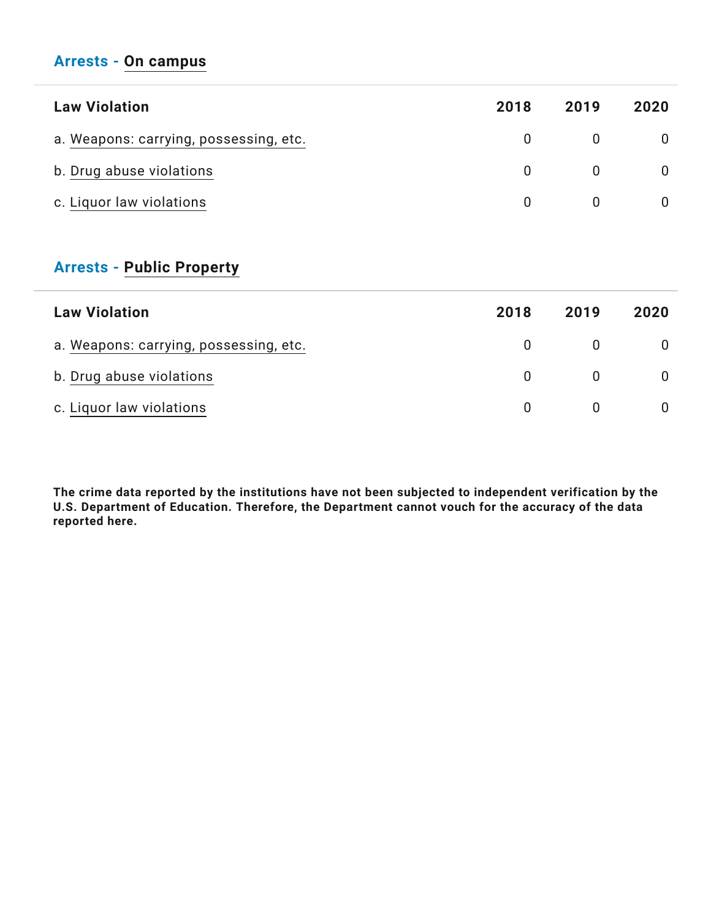#### **Arrests - On [campus](https://ope.ed.gov/campussafety/)**

| <b>Law Violation</b>                   | 2018     | 2019 | 2020 |
|----------------------------------------|----------|------|------|
| a. Weapons: carrying, possessing, etc. | $\Omega$ |      |      |
| b. Drug abuse violations               | $\Omega$ |      |      |
| c. Liquor law violations               | 0        |      |      |

#### **Arrests - Public [Property](https://ope.ed.gov/campussafety/)**

| <b>Law Violation</b>                   | 2018         | 2019 | 2020 |
|----------------------------------------|--------------|------|------|
| a. Weapons: carrying, possessing, etc. |              |      |      |
| b. Drug abuse violations               | <sup>n</sup> |      |      |
| c. Liquor law violations               |              |      |      |

**The crime data reported by the institutions have not been subjected to independent verification by the U.S. Department of Education. Therefore, the Department cannot vouch for the accuracy of the data reported here.**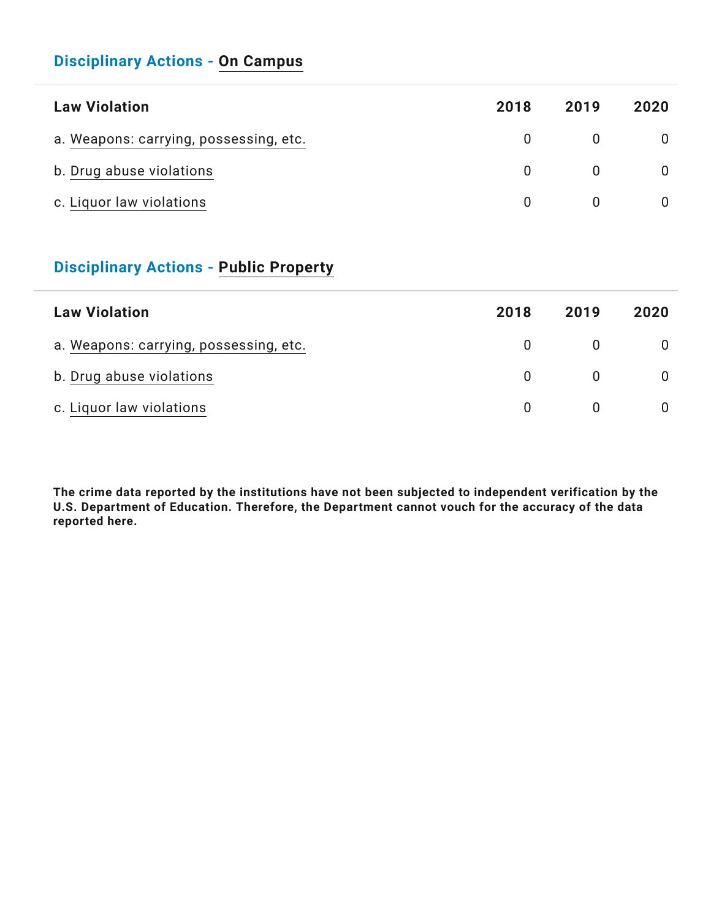#### **Disciplinary Actions - On [Campus](https://ope.ed.gov/campussafety/)**

| <b>Law Violation</b>                   | 2018     | 2019 | 2020 |
|----------------------------------------|----------|------|------|
| a. Weapons: carrying, possessing, etc. | $\Omega$ |      |      |
| b. Drug abuse violations               | $\Omega$ |      |      |
| c. Liquor law violations               | $\Omega$ |      |      |

#### **Disciplinary Actions - Public [Property](https://ope.ed.gov/campussafety/)**

| <b>Law Violation</b>                   | 2018         | 2019 | 2020 |
|----------------------------------------|--------------|------|------|
| a. Weapons: carrying, possessing, etc. |              |      |      |
| b. Drug abuse violations               | <sup>n</sup> |      |      |
| c. Liquor law violations               | $\Omega$     |      |      |

**The crime data reported by the institutions have not been subjected to independent verification by the U.S. Department of Education. Therefore, the Department cannot vouch for the accuracy of the data reported here.**